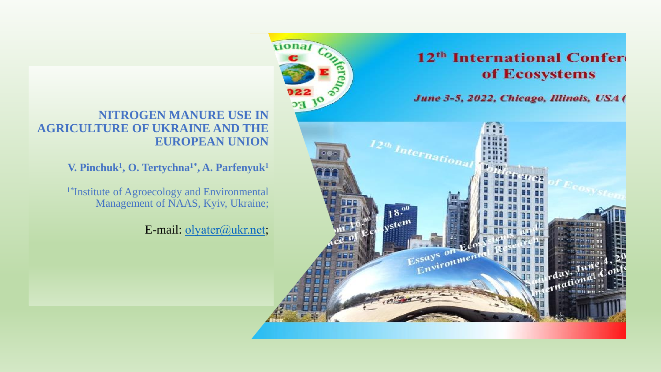## 12<sup>th</sup> International Confer of Ecosystems

June 3-5, 2022, Chicago, Illinois, USA (



## **NITROGEN MANURE USE IN AGRICULTURE OF UKRAINE AND THE EUROPEAN UNION**

**V. Pinchuk<sup>1</sup> , O. Tertychna1\* , A. Parfenyuk<sup>1</sup>**

1\*Institute of Agroecology and Environmental Management of NAAS, Kyiv, Ukraine;

E-mail: olyater@ukr.net;

tional Co.